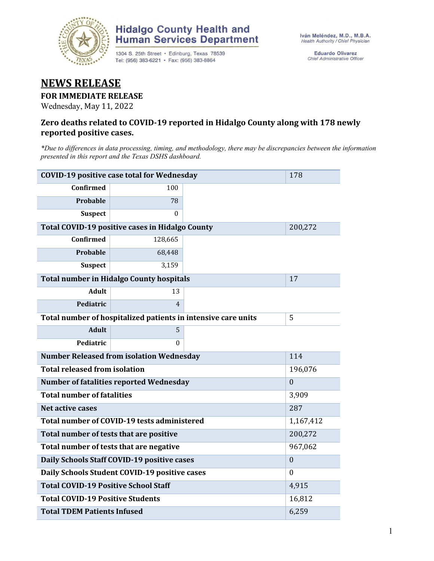

### **Hidalgo County Health and Human Services Department**

1304 S. 25th Street · Edinburg, Texas 78539 Tel: (956) 383-6221 · Fax: (956) 383-8864

Eduardo Olivarez Chief Administrative Officer

## **NEWS RELEASE**

#### **FOR IMMEDIATE RELEASE**

Wednesday, May 11, 2022

#### **Zero deaths related to COVID-19 reported in Hidalgo County along with 178 newly reported positive cases.**

*\*Due to differences in data processing, timing, and methodology, there may be discrepancies between the information presented in this report and the Texas DSHS dashboard.*

| <b>COVID-19 positive case total for Wednesday</b>             | 178                                             |                |    |
|---------------------------------------------------------------|-------------------------------------------------|----------------|----|
| <b>Confirmed</b>                                              | 100                                             |                |    |
| <b>Probable</b>                                               | 78                                              |                |    |
| <b>Suspect</b>                                                | 0                                               |                |    |
| Total COVID-19 positive cases in Hidalgo County               |                                                 | 200,272        |    |
| <b>Confirmed</b>                                              | 128,665                                         |                |    |
| Probable                                                      | 68,448                                          |                |    |
| <b>Suspect</b>                                                | 3,159                                           |                |    |
|                                                               | <b>Total number in Hidalgo County hospitals</b> |                | 17 |
| <b>Adult</b>                                                  | 13                                              |                |    |
| Pediatric                                                     | $\overline{4}$                                  |                |    |
| Total number of hospitalized patients in intensive care units | 5                                               |                |    |
| <b>Adult</b>                                                  | 5                                               |                |    |
| <b>Pediatric</b>                                              | $\theta$                                        |                |    |
| <b>Number Released from isolation Wednesday</b>               | 114                                             |                |    |
| <b>Total released from isolation</b>                          |                                                 | 196,076        |    |
| <b>Number of fatalities reported Wednesday</b>                |                                                 | $\theta$       |    |
| <b>Total number of fatalities</b>                             |                                                 | 3,909          |    |
| Net active cases                                              |                                                 | 287            |    |
| Total number of COVID-19 tests administered                   | 1,167,412                                       |                |    |
| Total number of tests that are positive                       | 200,272                                         |                |    |
| Total number of tests that are negative                       | 967,062                                         |                |    |
| Daily Schools Staff COVID-19 positive cases                   |                                                 | $\overline{0}$ |    |
| Daily Schools Student COVID-19 positive cases                 | $\mathbf{0}$                                    |                |    |
| <b>Total COVID-19 Positive School Staff</b>                   | 4,915                                           |                |    |
| <b>Total COVID-19 Positive Students</b>                       | 16,812                                          |                |    |
| <b>Total TDEM Patients Infused</b>                            | 6,259                                           |                |    |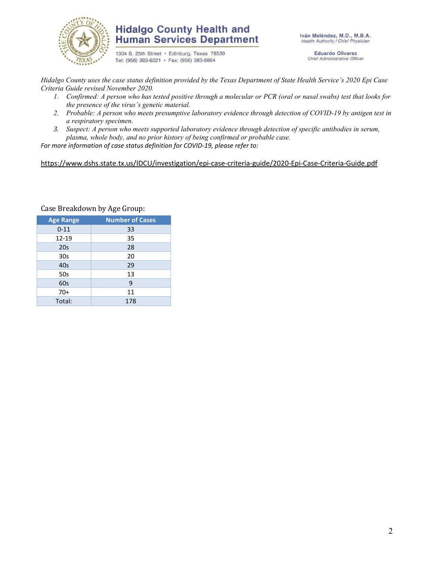

### **Hidalgo County Health and Human Services Department**

1304 S. 25th Street · Edinburg, Texas 78539 Tel: (956) 383-6221 · Fax: (956) 383-8864

Iván Meléndez, M.D., M.B.A. Health Authority / Chief Physician

> **Eduardo Olivarez** Chief Administrative Officer

*Hidalgo County uses the case status definition provided by the Texas Department of State Health Service's 2020 Epi Case Criteria Guide revised November 2020.*

- *1. Confirmed: A person who has tested positive through a molecular or PCR (oral or nasal swabs) test that looks for the presence of the virus's genetic material.*
- *2. Probable: A person who meets presumptive laboratory evidence through detection of COVID-19 by antigen test in a respiratory specimen.*
- *3. Suspect: A person who meets supported laboratory evidence through detection of specific antibodies in serum, plasma, whole body, and no prior history of being confirmed or probable case.*

*For more information of case status definition for COVID-19, please refer to:*

<https://www.dshs.state.tx.us/IDCU/investigation/epi-case-criteria-guide/2020-Epi-Case-Criteria-Guide.pdf>

| <b>Age Range</b> | <b>Number of Cases</b> |  |  |  |  |
|------------------|------------------------|--|--|--|--|
| $0 - 11$         | 33                     |  |  |  |  |
| 12-19            | 35                     |  |  |  |  |
| 20s              | 28                     |  |  |  |  |
| 30 <sub>s</sub>  | 20                     |  |  |  |  |
| 40s              | 29                     |  |  |  |  |
| 50s              | 13                     |  |  |  |  |
| 60s              | 9                      |  |  |  |  |
| $70+$            | 11                     |  |  |  |  |
| Total:           | 178                    |  |  |  |  |

Case Breakdown by Age Group: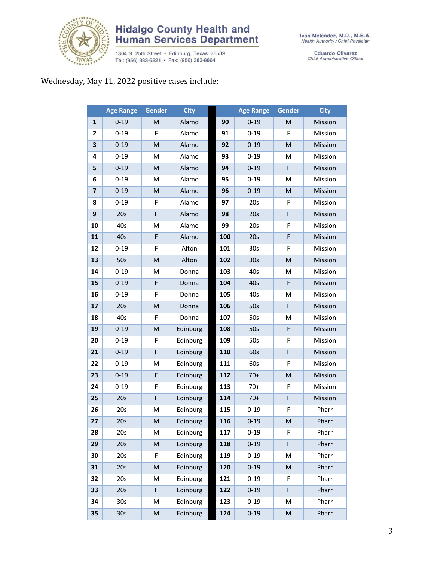

## **Hidalgo County Health and<br>Human Services Department**

1304 S. 25th Street • Edinburg, Texas 78539<br>Tel: (956) 383-6221 • Fax: (956) 383-8864

Eduardo Olivarez<br>Chief Administrative Officer

### Wednesday, May 11, 2022 positive cases include:

|                         | <b>Age Range</b> | <b>Gender</b>                                                                                              | <b>City</b> |     | <b>Age Range</b> | <b>Gender</b>                                                                                              | <b>City</b> |
|-------------------------|------------------|------------------------------------------------------------------------------------------------------------|-------------|-----|------------------|------------------------------------------------------------------------------------------------------------|-------------|
| $\mathbf{1}$            | $0 - 19$         | M                                                                                                          | Alamo       | 90  | $0 - 19$         | M                                                                                                          | Mission     |
| 2                       | $0 - 19$         | F                                                                                                          | Alamo       | 91  | $0 - 19$         | F                                                                                                          | Mission     |
| 3                       | $0 - 19$         | M                                                                                                          | Alamo       | 92  | $0 - 19$         | ${\sf M}$                                                                                                  | Mission     |
| 4                       | $0 - 19$         | M                                                                                                          | Alamo       | 93  | $0 - 19$         | M                                                                                                          | Mission     |
| 5                       | $0 - 19$         | $\mathsf{M}% _{T}=\mathsf{M}_{T}\!\left( a,b\right) ,\ \mathsf{M}_{T}=\mathsf{M}_{T}\!\left( a,b\right) ,$ | Alamo       | 94  | $0 - 19$         | F                                                                                                          | Mission     |
| 6                       | $0 - 19$         | M                                                                                                          | Alamo       | 95  | $0 - 19$         | M                                                                                                          | Mission     |
| $\overline{\mathbf{z}}$ | $0 - 19$         | ${\sf M}$                                                                                                  | Alamo       | 96  | $0 - 19$         | ${\sf M}$                                                                                                  | Mission     |
| 8                       | $0 - 19$         | F                                                                                                          | Alamo       | 97  | 20s              | F                                                                                                          | Mission     |
| 9                       | 20s              | F                                                                                                          | Alamo       | 98  | 20s              | F                                                                                                          | Mission     |
| 10                      | 40s              | M                                                                                                          | Alamo       | 99  | 20s              | F                                                                                                          | Mission     |
| 11                      | 40s              | F                                                                                                          | Alamo       | 100 | 20s              | F                                                                                                          | Mission     |
| 12                      | $0 - 19$         | F                                                                                                          | Alton       | 101 | 30s              | F                                                                                                          | Mission     |
| 13                      | 50s              | $\mathsf{M}% _{T}=\mathsf{M}_{T}\!\left( a,b\right) ,\ \mathsf{M}_{T}=\mathsf{M}_{T}\!\left( a,b\right) ,$ | Alton       | 102 | 30 <sub>s</sub>  | ${\sf M}$                                                                                                  | Mission     |
| 14                      | $0 - 19$         | M                                                                                                          | Donna       | 103 | 40s              | M                                                                                                          | Mission     |
| 15                      | $0 - 19$         | F                                                                                                          | Donna       | 104 | 40s              | F                                                                                                          | Mission     |
| 16                      | $0 - 19$         | F                                                                                                          | Donna       | 105 | 40s              | M                                                                                                          | Mission     |
| 17                      | 20s              | M                                                                                                          | Donna       | 106 | 50s              | F                                                                                                          | Mission     |
| 18                      | 40s              | F                                                                                                          | Donna       | 107 | 50s              | M                                                                                                          | Mission     |
| 19                      | $0 - 19$         | M                                                                                                          | Edinburg    | 108 | 50s              | F                                                                                                          | Mission     |
| 20                      | $0 - 19$         | F                                                                                                          | Edinburg    | 109 | 50s              | F                                                                                                          | Mission     |
| 21                      | $0 - 19$         | F                                                                                                          | Edinburg    | 110 | 60s              | F                                                                                                          | Mission     |
| 22                      | $0 - 19$         | M                                                                                                          | Edinburg    | 111 | 60s              | F                                                                                                          | Mission     |
| 23                      | $0 - 19$         | F                                                                                                          | Edinburg    | 112 | $70+$            | ${\sf M}$                                                                                                  | Mission     |
| 24                      | $0 - 19$         | F                                                                                                          | Edinburg    | 113 | $70+$            | F                                                                                                          | Mission     |
| 25                      | 20s              | F                                                                                                          | Edinburg    | 114 | $70+$            | F                                                                                                          | Mission     |
| 26                      | 20s              | M                                                                                                          | Edinburg    | 115 | $0 - 19$         | F                                                                                                          | Pharr       |
| 27                      | 20s              | M                                                                                                          | Edinburg    | 116 | $0 - 19$         | M                                                                                                          | Pharr       |
| 28                      | 20s              | Μ                                                                                                          | Edinburg    | 117 | $0 - 19$         | F                                                                                                          | Pharr       |
| 29                      | 20s              | M                                                                                                          | Edinburg    | 118 | $0 - 19$         | F                                                                                                          | Pharr       |
| 30                      | 20s              | F                                                                                                          | Edinburg    | 119 | $0 - 19$         | M                                                                                                          | Pharr       |
| 31                      | 20s              | M                                                                                                          | Edinburg    | 120 | $0 - 19$         | ${\sf M}$                                                                                                  | Pharr       |
| 32                      | 20s              | M                                                                                                          | Edinburg    | 121 | $0 - 19$         | F                                                                                                          | Pharr       |
| 33                      | 20s              | F                                                                                                          | Edinburg    | 122 | $0 - 19$         | F                                                                                                          | Pharr       |
| 34                      | 30s              | М                                                                                                          | Edinburg    | 123 | $0 - 19$         | M                                                                                                          | Pharr       |
| 35                      | 30s              | M                                                                                                          | Edinburg    | 124 | $0 - 19$         | $\mathsf{M}% _{T}=\mathsf{M}_{T}\!\left( a,b\right) ,\ \mathsf{M}_{T}=\mathsf{M}_{T}\!\left( a,b\right) ,$ | Pharr       |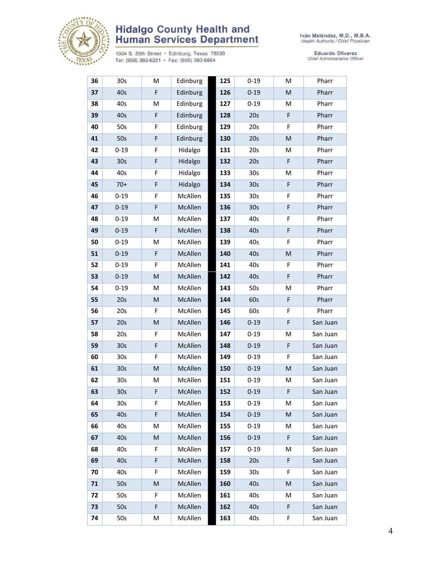

# **Hidalgo County Health and<br>Human Services Department**

1304 S. 25th Street • Edinburg, Texas 78539<br>Tel: (956) 383-6221 • Fax: (956) 383-8864

Iván Meléndez, M.D., M.B.A.<br>Health Authority / Chief Physician

Eduardo Olivarez<br>Chief Administrative Officer

| 36 | 30s             | M         | Edinburg | 125 | $0 - 19$        | M | Pharr    |
|----|-----------------|-----------|----------|-----|-----------------|---|----------|
| 37 | 40s             | F         | Edinburg | 126 | $0 - 19$        | M | Pharr    |
| 38 | 40s             | M         | Edinburg | 127 | $0 - 19$        | M | Pharr    |
| 39 | 40s             | F         | Edinburg | 128 | 20s             | F | Pharr    |
| 40 | 50s             | F         | Edinburg | 129 | 20s             | F | Pharr    |
| 41 | 50s             | F         | Edinburg | 130 | 20s             | M | Pharr    |
| 42 | $0 - 19$        | F         | Hidalgo  | 131 | 20s             | M | Pharr    |
| 43 | 30 <sub>s</sub> | F         | Hidalgo  | 132 | 20s             | F | Pharr    |
| 44 | 40s             | F         | Hidalgo  | 133 | 30 <sub>s</sub> | M | Pharr    |
| 45 | $70+$           | F         | Hidalgo  | 134 | 30 <sub>s</sub> | F | Pharr    |
| 46 | $0 - 19$        | F         | McAllen  | 135 | 30s             | F | Pharr    |
| 47 | $0 - 19$        | F         | McAllen  | 136 | 30 <sub>s</sub> | F | Pharr    |
| 48 | $0 - 19$        | M         | McAllen  | 137 | 40s             | F | Pharr    |
| 49 | $0 - 19$        | F         | McAllen  | 138 | 40s             | F | Pharr    |
| 50 | $0 - 19$        | M         | McAllen  | 139 | 40s             | F | Pharr    |
| 51 | $0 - 19$        | F         | McAllen  | 140 | 40s             | M | Pharr    |
| 52 | $0 - 19$        | F         | McAllen  | 141 | 40s             | F | Pharr    |
| 53 | $0 - 19$        | M         | McAllen  | 142 | 40s             | F | Pharr    |
| 54 | $0 - 19$        | M         | McAllen  | 143 | 50s             | M | Pharr    |
| 55 | 20s             | ${\sf M}$ | McAllen  | 144 | 60s             | F | Pharr    |
| 56 | 20s             | F         | McAllen  | 145 | 60s             | F | Pharr    |
| 57 | 20s             | M         | McAllen  | 146 | $0 - 19$        | F | San Juan |
| 58 | 20s             | F         | McAllen  | 147 | $0 - 19$        | M | San Juan |
| 59 | 30 <sub>s</sub> | F         | McAllen  | 148 | $0 - 19$        | F | San Juan |
| 60 | 30s             | F         | McAllen  | 149 | $0 - 19$        | F | San Juan |
| 61 | 30 <sub>s</sub> | M         | McAllen  | 150 | $0 - 19$        | M | San Juan |
| 62 | 30s             | M         | McAllen  | 151 | $0 - 19$        | M | San Juan |
| 63 | 30 <sub>s</sub> | F         | McAllen  | 152 | $0 - 19$        | F | San Juan |
| 64 | 30s             | F         | McAllen  | 153 | $0 - 19$        | М | San Juan |
| 65 | 40s             | F         | McAllen  | 154 | $0 - 19$        | M | San Juan |
| 66 | 40s             | M         | McAllen  | 155 | $0 - 19$        | м | San Juan |
| 67 | 40s             | M         | McAllen  | 156 | $0 - 19$        | F | San Juan |
| 68 | 40s             | F         | McAllen  | 157 | $0 - 19$        | M | San Juan |
| 69 | 40s             | F         | McAllen  | 158 | 20s             | F | San Juan |
| 70 | 40s             | F         | McAllen  | 159 | 30 <sub>s</sub> | F | San Juan |
| 71 | 50s             | M         | McAllen  | 160 | 40s             | M | San Juan |
| 72 | 50s             | F         | McAllen  | 161 | 40s             | Μ | San Juan |
| 73 | 50s             | F         | McAllen  | 162 | 40s             | F | San Juan |
| 74 | 50s             | м         | McAllen  | 163 | 40s             | F | San Juan |